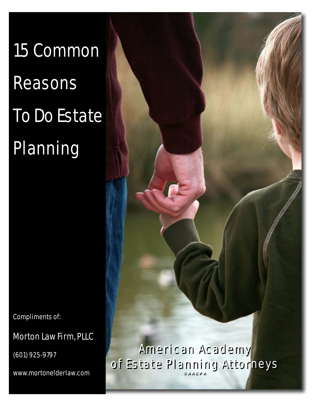15 Common Reasons To Do Estate Planning

Compliments of:

Morton Law Firm, PLLC

(601) 925-9797

www.mortonelderlaw.com

American Academy American Academy of Estate Planning Attorneys **©AAEPA**  of Estate Planning Attorneys **©AAEPA**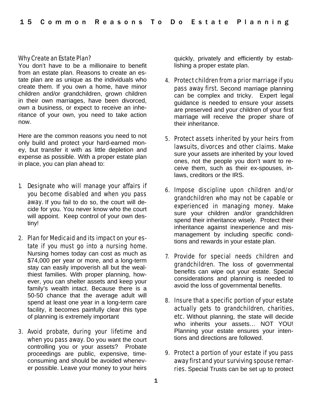## Why Create an Estate Plan?

You don't have to be a millionaire to benefit from an estate plan. Reasons to create an estate plan are as unique as the individuals who create them. If you own a home, have minor children and/or grandchildren, grown children in their own marriages, have been divorced, own a business, or expect to receive an inheritance of your own, you need to take action now.

Here are the common reasons you need to not only build and protect your hard-earned money, but transfer it with as little depletion and expense as possible. With a proper estate plan in place, you can plan ahead to:

- 1. Designate who will manage your affairs if you become disabled and when you pass away. If you fail to do so, the court will decide for you. You never know who the court will appoint. Keep control of your own destiny!
- 2. Plan for Medicaid and its impact on your estate if you must go into a nursing home. Nursing homes today can cost as much as \$74,000 per year or more, and a long-term stay can easily impoverish all but the wealthiest families. With proper planning, however, you can shelter assets and keep your family's wealth intact. Because there is a 50-50 chance that the average adult will spend at least one year in a long-term care facility, it becomes painfully clear this type of planning is extremely important
- 3. Avoid probate, during your lifetime and when you pass away. Do you want the court controlling you or your assets? Probate proceedings are public, expensive, timeconsuming and should be avoided whenever possible. Leave your money to your heirs

quickly, privately and efficiently by establishing a proper estate plan.

- 4. Protect children from a prior marriage if you pass away first. Second marriage planning can be complex and tricky. Expert legal guidance is needed to ensure your assets are preserved and your children of your first marriage will receive the proper share of their inheritance.
- 5. Protect assets inherited by your heirs from lawsuits, divorces and other claims. Make sure your assets are inherited by your loved ones, not the people you don't want to receive them, such as their ex-spouses, inlaws, creditors or the IRS.
- 6. Impose discipline upon children and/or grandchildren who may not be capable or experienced in managing money. Make sure your children and/or grandchildren spend their inheritance wisely. Protect their inheritance against inexperience and mismanagement by including specific conditions and rewards in your estate plan.
- 7. Provide for special needs children and grandchildren. The loss of governmental benefits can wipe out your estate. Special considerations and planning is needed to avoid the loss of governmental benefits.
- 8. Insure that a specific portion of your estate actually gets to grandchildren, charities, etc. Without planning, the state will decide who inherits your assets… NOT YOU! Planning your estate ensures your intentions and directions are followed.
- 9. Protect a portion of your estate if you pass away first and your surviving spouse remarries. Special Trusts can be set up to protect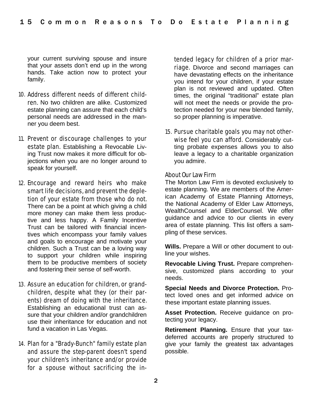your current surviving spouse and insure that your assets don't end up in the wrong hands. Take action now to protect your family.

- 10. Address different needs of different children. No two children are alike. Customized estate planning can assure that each child's personal needs are addressed in the manner you deem best.
- 11. Prevent or discourage challenges to your estate plan. Establishing a Revocable Living Trust now makes it more difficult for objections when you are no longer around to speak for yourself.
- 12. Encourage and reward heirs who make smart life decisions, and prevent the depletion of your estate from those who do not. There can be a point at which giving a child more money can make them less productive and less happy. A Family Incentive Trust can be tailored with financial incentives which encompass your family values and goals to encourage and motivate your children. Such a Trust can be a loving way to support your children while inspiring them to be productive members of society and fostering their sense of self-worth.
- 13. Assure an education for children, or grandchildren, despite what they (or their parents) dream of doing with the inheritance. Establishing an educational trust can assure that your children and/or grandchildren use their inheritance for education and not fund a vacation in Las Vegas.
- 14. Plan for a "Brady-Bunch" family estate plan and assure the step-parent doesn't spend your children's inheritance and/or provide for a spouse without sacrificing the in-

tended legacy for children of a prior marriage. Divorce and second marriages can have devastating effects on the inheritance you intend for your children, if your estate plan is not reviewed and updated. Often times, the original "traditional" estate plan will not meet the needs or provide the protection needed for your new blended family, so proper planning is imperative.

15. Pursue charitable goals you may not otherwise feel you can afford. Considerably cutting probate expenses allows you to also leave a legacy to a charitable organization you admire.

## About Our Law Firm

The Morton Law Firm is devoted exclusively to estate planning. We are members of the American Academy of Estate Planning Attorneys, the National Academy of Elder Law Attorneys, WealthCounsel and ElderCounsel. We offer guidance and advice to our clients in every area of estate planning. This list offers a sampling of these services.

**Wills.** Prepare a Will or other document to outline your wishes.

**Revocable Living Trust.** Prepare comprehensive, customized plans according to your needs.

**Special Needs and Divorce Protection.** Protect loved ones and get informed advice on these important estate planning issues.

**Asset Protection.** Receive guidance on protecting your legacy.

**Retirement Planning.** Ensure that your taxdeferred accounts are properly structured to give your family the greatest tax advantages possible.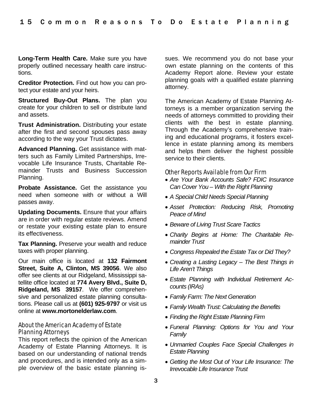**Long-Term Health Care.** Make sure you have properly outlined necessary health care instructions.

**Creditor Protection.** Find out how you can protect your estate and your heirs.

**Structured Buy-Out Plans.** The plan you create for your children to sell or distribute land and assets.

**Trust Administration.** Distributing your estate after the first and second spouses pass away according to the way your Trust dictates.

**Advanced Planning.** Get assistance with matters such as Family Limited Partnerships, Irrevocable Life Insurance Trusts, Charitable Remainder Trusts and Business Succession Planning.

**Probate Assistance.** Get the assistance you need when someone with or without a Will passes away.

**Updating Documents.** Ensure that your affairs are in order with regular estate reviews. Amend or restate your existing estate plan to ensure its effectiveness.

**Tax Planning.** Preserve your wealth and reduce taxes with proper planning.

Our main office is located at **132 Fairmont Street, Suite A, Clinton, MS 39056**. We also offer see clients at our Ridgeland, Mississippi satellite office located at **774 Avery Blvd., Suite D, Ridgeland, MS 39157**. We offer comprehensive and personalized estate planning consultations. Please call us at **(601) 925-9797** or visit us online at **www.mortonelderlaw.com**.

## About the American Academy of Estate Planning Attorneys

This report reflects the opinion of the American Academy of Estate Planning Attorneys. It is based on our understanding of national trends and procedures, and is intended only as a simple overview of the basic estate planning issues. We recommend you do not base your own estate planning on the contents of this Academy Report alone. Review your estate planning goals with a qualified estate planning attorney.

The American Academy of Estate Planning Attorneys is a member organization serving the needs of attorneys committed to providing their clients with the best in estate planning. Through the Academy's comprehensive training and educational programs, it fosters excellence in estate planning among its members and helps them deliver the highest possible service to their clients.

## Other Reports Available from Our Firm

- *Are Your Bank Accounts Safe? FDIC Insurance Can Cover You – With the Right Planning*
- *A Special Child Needs Special Planning*
- *Asset Protection: Reducing Risk, Promoting Peace of Mind*
- *Beware of Living Trust Scare Tactics*
- *Charity Begins at Home: The Charitable Remainder Trust*
- *Congress Repealed the Estate Tax or Did They?*
- *Creating a Lasting Legacy The Best Things in Life Aren't Things*
- *Estate Planning with Individual Retirement Accounts (IRAs)*
- *Family Farm: The Next Generation*
- *Family Wealth Trust: Calculating the Benefits*
- *Finding the Right Estate Planning Firm*
- *Funeral Planning: Options for You and Your Family*
- *Unmarried Couples Face Special Challenges in Estate Planning*
- *Getting the Most Out of Your Life Insurance: The Irrevocable Life Insurance Trust*